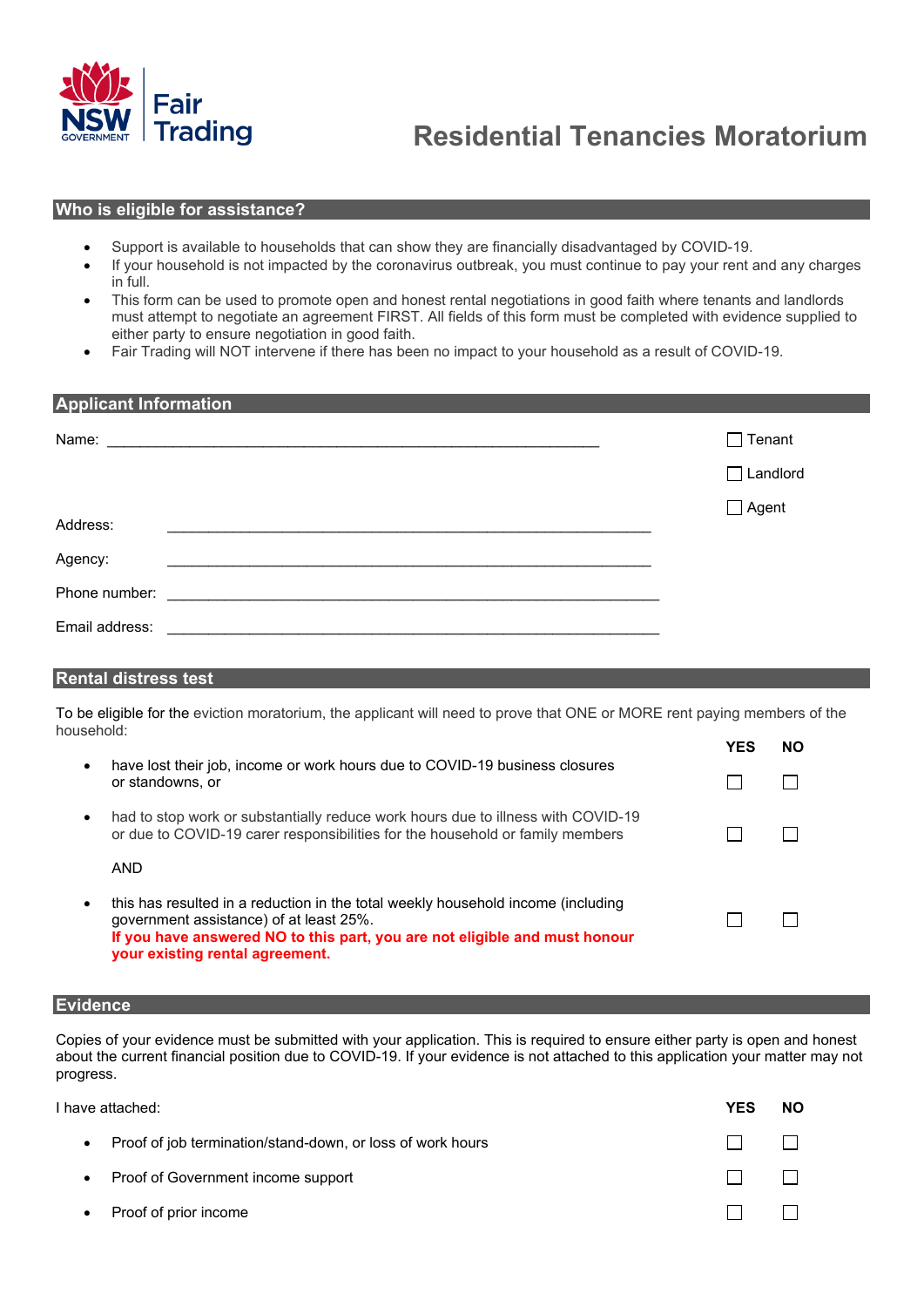

#### **Who is eligible for assistance?**

- Support is available to households that can show they are financially disadvantaged by COVID-19.
- If your household is not impacted by the coronavirus outbreak, you must continue to pay your rent and any charges in full.
- This form can be used to promote open and honest rental negotiations in good faith where tenants and landlords must attempt to negotiate an agreement FIRST. All fields of this form must be completed with evidence supplied to either party to ensure negotiation in good faith.
- Fair Trading will NOT intervene if there has been no impact to your household as a result of COVID-19.

| <b>Applicant Information</b>                                                                                                                                                                                                        |                 |  |  |  |
|-------------------------------------------------------------------------------------------------------------------------------------------------------------------------------------------------------------------------------------|-----------------|--|--|--|
| Name: <u>Name:</u> 2006. Experience and the contract of the contract of the contract of the contract of the contract of the contract of the contract of the contract of the contract of the contract of the contract of the contrac | $\Box$ Tenant   |  |  |  |
|                                                                                                                                                                                                                                     | $\Box$ Landlord |  |  |  |
| Address:                                                                                                                                                                                                                            | $\Box$ Agent    |  |  |  |
| Agency:<br>Phone number:<br><u> 1980 - Jan Barnett, fransk politiker (d. 1980)</u>                                                                                                                                                  |                 |  |  |  |
| Email address:                                                                                                                                                                                                                      |                 |  |  |  |

#### **Rental distress test**

To be eligible for the eviction moratorium, the applicant will need to prove that ONE or MORE rent paying members of the household:

|           |                                                                                                                                                                                                                                              | <b>YFS</b> | NΟ |
|-----------|----------------------------------------------------------------------------------------------------------------------------------------------------------------------------------------------------------------------------------------------|------------|----|
| $\bullet$ | have lost their job, income or work hours due to COVID-19 business closures<br>or standowns, or                                                                                                                                              |            |    |
| $\bullet$ | had to stop work or substantially reduce work hours due to illness with COVID-19<br>or due to COVID-19 carer responsibilities for the household or family members                                                                            |            |    |
|           | AND                                                                                                                                                                                                                                          |            |    |
| ٠         | this has resulted in a reduction in the total weekly household income (including<br>government assistance) of at least 25%.<br>If you have answered NO to this part, you are not eligible and must honour<br>your existing rental agreement. |            |    |
|           |                                                                                                                                                                                                                                              |            |    |

# **Evidence**

Copies of your evidence must be submitted with your application. This is required to ensure either party is open and honest about the current financial position due to COVID-19. If your evidence is not attached to this application your matter may not progress.

I have attached: **YES NO**

| $\bullet$ | Proof of job termination/stand-down, or loss of work hours | $\Box$                                 |  |
|-----------|------------------------------------------------------------|----------------------------------------|--|
| $\bullet$ | Proof of Government income support                         | $\mathbf{1}$ $\mathbf{1}$ $\mathbf{1}$ |  |
|           | • Proof of prior income                                    | $\Box$                                 |  |